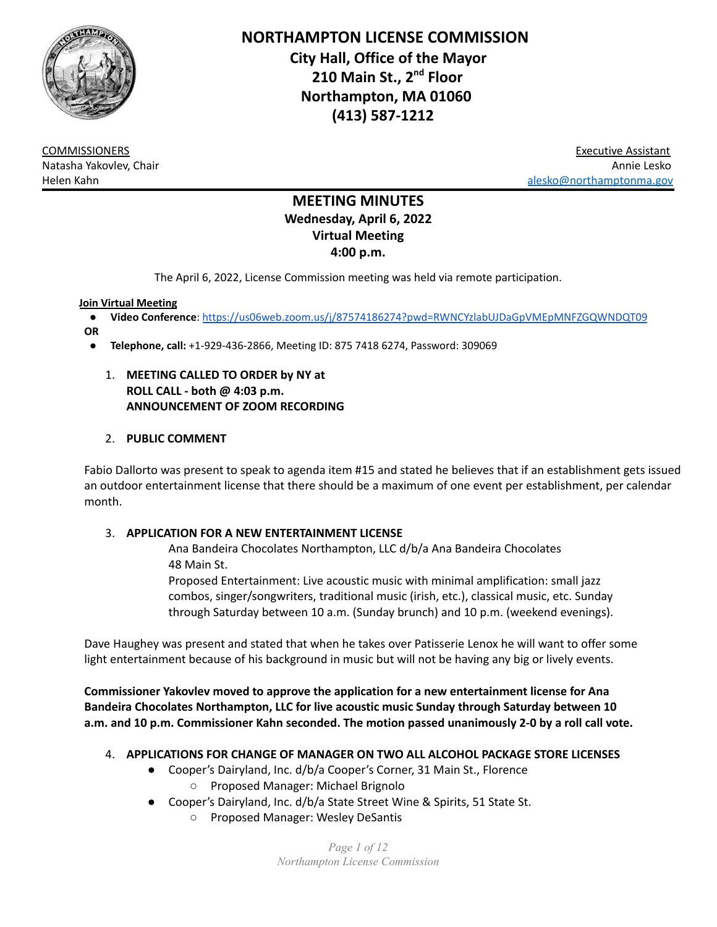

**NORTHAMPTON LICENSE COMMISSION City Hall, Office of the Mayor 210 Main St., 2 nd Floor Northampton, MA 01060 (413) 587-1212**

COMMISSIONERS Executive Assistant Natasha Yakovlev, Chair Annie Lesko Helen Kahn [alesko@northamptonma.gov](mailto:alesko@northamptonma.gov)

# **MEETING MINUTES Wednesday, April 6, 2022 Virtual Meeting 4:00 p.m.**

The April 6, 2022, License Commission meeting was held via remote participation.

#### **Join Virtual Meeting**

- **Video Conference**: <https://us06web.zoom.us/j/87574186274?pwd=RWNCYzlabUJDaGpVMEpMNFZGQWNDQT09>
- **OR**
	- **Telephone, call:** +1-929-436-2866, Meeting ID: 875 7418 6274, Password: 309069
		- 1. **MEETING CALLED TO ORDER by NY at ROLL CALL - both @ 4:03 p.m. ANNOUNCEMENT OF ZOOM RECORDING**

## 2. **PUBLIC COMMENT**

Fabio Dallorto was present to speak to agenda item #15 and stated he believes that if an establishment gets issued an outdoor entertainment license that there should be a maximum of one event per establishment, per calendar month.

#### 3. **APPLICATION FOR A NEW ENTERTAINMENT LICENSE**

Ana Bandeira Chocolates Northampton, LLC d/b/a Ana Bandeira Chocolates 48 Main St.

Proposed Entertainment: Live acoustic music with minimal amplification: small jazz combos, singer/songwriters, traditional music (irish, etc.), classical music, etc. Sunday through Saturday between 10 a.m. (Sunday brunch) and 10 p.m. (weekend evenings).

Dave Haughey was present and stated that when he takes over Patisserie Lenox he will want to offer some light entertainment because of his background in music but will not be having any big or lively events.

**Commissioner Yakovlev moved to approve the application for a new entertainment license for Ana Bandeira Chocolates Northampton, LLC for live acoustic music Sunday through Saturday between 10 a.m. and 10 p.m. Commissioner Kahn seconded. The motion passed unanimously 2-0 by a roll call vote.**

- 4. **APPLICATIONS FOR CHANGE OF MANAGER ON TWO ALL ALCOHOL PACKAGE STORE LICENSES**
	- Cooper's Dairyland, Inc. d/b/a Cooper's Corner, 31 Main St., Florence ○ Proposed Manager: Michael Brignolo
	- Cooper's Dairyland, Inc. d/b/a State Street Wine & Spirits, 51 State St.
		- Proposed Manager: Wesley DeSantis

*Page 1 of 12 Northampton License Commission*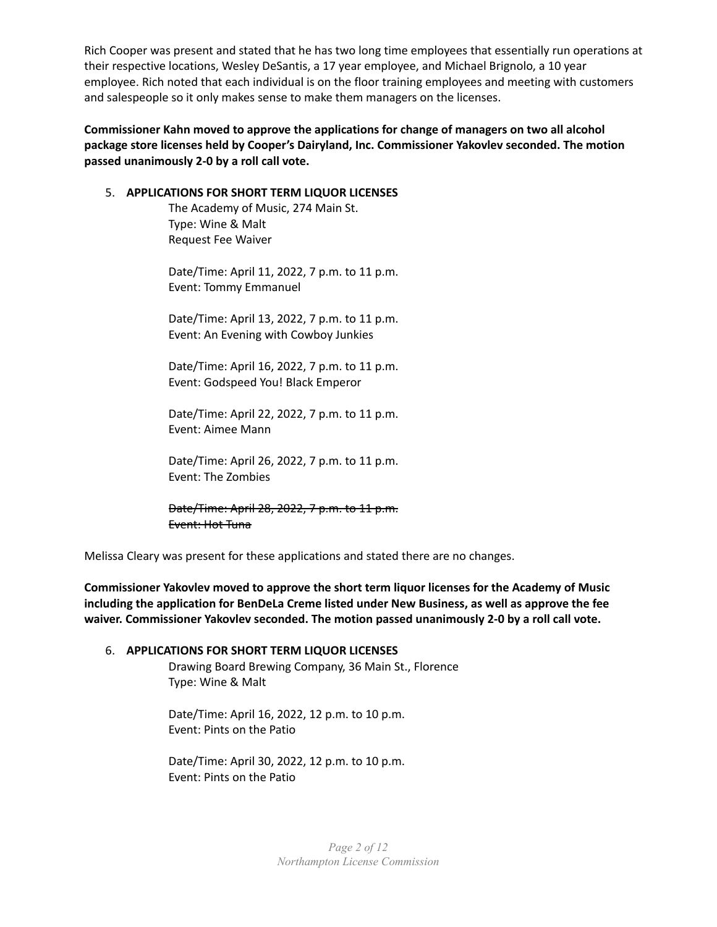Rich Cooper was present and stated that he has two long time employees that essentially run operations at their respective locations, Wesley DeSantis, a 17 year employee, and Michael Brignolo, a 10 year employee. Rich noted that each individual is on the floor training employees and meeting with customers and salespeople so it only makes sense to make them managers on the licenses.

**Commissioner Kahn moved to approve the applications for change of managers on two all alcohol package store licenses held by Cooper's Dairyland, Inc. Commissioner Yakovlev seconded. The motion passed unanimously 2-0 by a roll call vote.**

#### 5. **APPLICATIONS FOR SHORT TERM LIQUOR LICENSES**

The Academy of Music, 274 Main St. Type: Wine & Malt Request Fee Waiver

Date/Time: April 11, 2022, 7 p.m. to 11 p.m. Event: Tommy Emmanuel

Date/Time: April 13, 2022, 7 p.m. to 11 p.m. Event: An Evening with Cowboy Junkies

Date/Time: April 16, 2022, 7 p.m. to 11 p.m. Event: Godspeed You! Black Emperor

Date/Time: April 22, 2022, 7 p.m. to 11 p.m. Event: Aimee Mann

Date/Time: April 26, 2022, 7 p.m. to 11 p.m. Event: The Zombies

Date/Time: April 28, 2022, 7 p.m. to 11 p.m. Event: Hot Tuna

Melissa Cleary was present for these applications and stated there are no changes.

**Commissioner Yakovlev moved to approve the short term liquor licenses for the Academy of Music including the application for BenDeLa Creme listed under New Business, as well as approve the fee waiver. Commissioner Yakovlev seconded. The motion passed unanimously 2-0 by a roll call vote.**

#### 6. **APPLICATIONS FOR SHORT TERM LIQUOR LICENSES**

Drawing Board Brewing Company, 36 Main St., Florence Type: Wine & Malt

Date/Time: April 16, 2022, 12 p.m. to 10 p.m. Event: Pints on the Patio

Date/Time: April 30, 2022, 12 p.m. to 10 p.m. Event: Pints on the Patio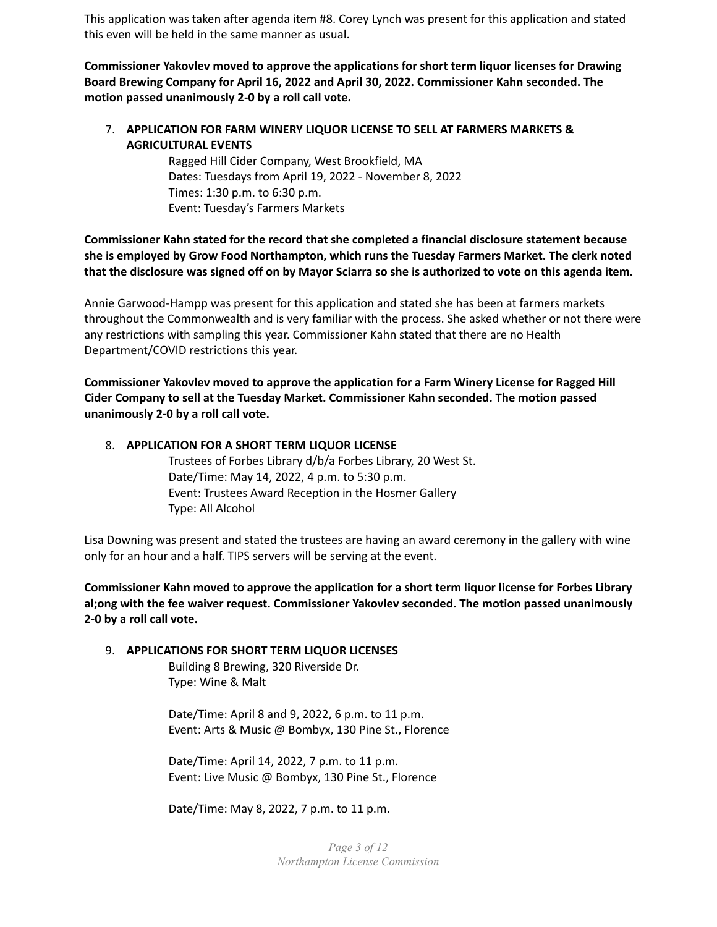This application was taken after agenda item #8. Corey Lynch was present for this application and stated this even will be held in the same manner as usual.

**Commissioner Yakovlev moved to approve the applications for short term liquor licenses for Drawing Board Brewing Company for April 16, 2022 and April 30, 2022. Commissioner Kahn seconded. The motion passed unanimously 2-0 by a roll call vote.**

# 7. **APPLICATION FOR FARM WINERY LIQUOR LICENSE TO SELL AT FARMERS MARKETS & AGRICULTURAL EVENTS**

Ragged Hill Cider Company, West Brookfield, MA Dates: Tuesdays from April 19, 2022 - November 8, 2022 Times: 1:30 p.m. to 6:30 p.m. Event: Tuesday's Farmers Markets

# **Commissioner Kahn stated for the record that she completed a financial disclosure statement because she is employed by Grow Food Northampton, which runs the Tuesday Farmers Market. The clerk noted** that the disclosure was signed off on by Mayor Sciarra so she is authorized to vote on this agenda item.

Annie Garwood-Hampp was present for this application and stated she has been at farmers markets throughout the Commonwealth and is very familiar with the process. She asked whether or not there were any restrictions with sampling this year. Commissioner Kahn stated that there are no Health Department/COVID restrictions this year.

**Commissioner Yakovlev moved to approve the application for a Farm Winery License for Ragged Hill Cider Company to sell at the Tuesday Market. Commissioner Kahn seconded. The motion passed unanimously 2-0 by a roll call vote.**

## 8. **APPLICATION FOR A SHORT TERM LIQUOR LICENSE**

Trustees of Forbes Library d/b/a Forbes Library, 20 West St. Date/Time: May 14, 2022, 4 p.m. to 5:30 p.m. Event: Trustees Award Reception in the Hosmer Gallery Type: All Alcohol

Lisa Downing was present and stated the trustees are having an award ceremony in the gallery with wine only for an hour and a half. TIPS servers will be serving at the event.

**Commissioner Kahn moved to approve the application for a short term liquor license for Forbes Library al;ong with the fee waiver request. Commissioner Yakovlev seconded. The motion passed unanimously 2-0 by a roll call vote.**

# 9. **APPLICATIONS FOR SHORT TERM LIQUOR LICENSES**

Building 8 Brewing, 320 Riverside Dr. Type: Wine & Malt

Date/Time: April 8 and 9, 2022, 6 p.m. to 11 p.m. Event: Arts & Music @ Bombyx, 130 Pine St., Florence

Date/Time: April 14, 2022, 7 p.m. to 11 p.m. Event: Live Music @ Bombyx, 130 Pine St., Florence

Date/Time: May 8, 2022, 7 p.m. to 11 p.m.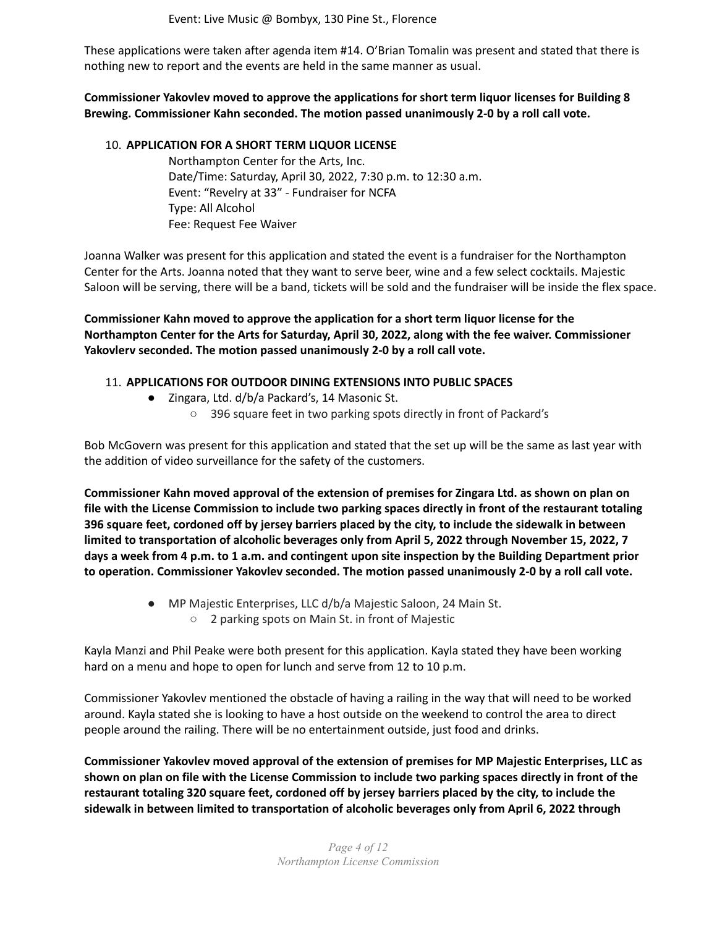Event: Live Music @ Bombyx, 130 Pine St., Florence

These applications were taken after agenda item #14. O'Brian Tomalin was present and stated that there is nothing new to report and the events are held in the same manner as usual.

**Commissioner Yakovlev moved to approve the applications for short term liquor licenses for Building 8 Brewing. Commissioner Kahn seconded. The motion passed unanimously 2-0 by a roll call vote.**

#### 10. **APPLICATION FOR A SHORT TERM LIQUOR LICENSE**

Northampton Center for the Arts, Inc. Date/Time: Saturday, April 30, 2022, 7:30 p.m. to 12:30 a.m. Event: "Revelry at 33" - Fundraiser for NCFA Type: All Alcohol Fee: Request Fee Waiver

Joanna Walker was present for this application and stated the event is a fundraiser for the Northampton Center for the Arts. Joanna noted that they want to serve beer, wine and a few select cocktails. Majestic Saloon will be serving, there will be a band, tickets will be sold and the fundraiser will be inside the flex space.

**Commissioner Kahn moved to approve the application for a short term liquor license for the Northampton Center for the Arts for Saturday, April 30, 2022, along with the fee waiver. Commissioner Yakovlerv seconded. The motion passed unanimously 2-0 by a roll call vote.**

#### 11. **APPLICATIONS FOR OUTDOOR DINING EXTENSIONS INTO PUBLIC SPACES**

- Zingara, Ltd. d/b/a Packard's, 14 Masonic St.
	- 396 square feet in two parking spots directly in front of Packard's

Bob McGovern was present for this application and stated that the set up will be the same as last year with the addition of video surveillance for the safety of the customers.

**Commissioner Kahn moved approval of the extension of premises for Zingara Ltd. as shown on plan on** file with the License Commission to include two parking spaces directly in front of the restaurant totaling 396 square feet, cordoned off by jersey barriers placed by the city, to include the sidewalk in between **limited to transportation of alcoholic beverages only from April 5, 2022 through November 15, 2022, 7** days a week from 4 p.m. to 1 a.m. and contingent upon site inspection by the Building Department prior **to operation. Commissioner Yakovlev seconded. The motion passed unanimously 2-0 by a roll call vote.**

- MP Majestic Enterprises, LLC d/b/a Majestic Saloon, 24 Main St.
	- 2 parking spots on Main St. in front of Majestic

Kayla Manzi and Phil Peake were both present for this application. Kayla stated they have been working hard on a menu and hope to open for lunch and serve from 12 to 10 p.m.

Commissioner Yakovlev mentioned the obstacle of having a railing in the way that will need to be worked around. Kayla stated she is looking to have a host outside on the weekend to control the area to direct people around the railing. There will be no entertainment outside, just food and drinks.

**Commissioner Yakovlev moved approval of the extension of premises for MP Majestic Enterprises, LLC as** shown on plan on file with the License Commission to include two parking spaces directly in front of the **restaurant totaling 320 square feet, cordoned off by jersey barriers placed by the city, to include the sidewalk in between limited to transportation of alcoholic beverages only from April 6, 2022 through**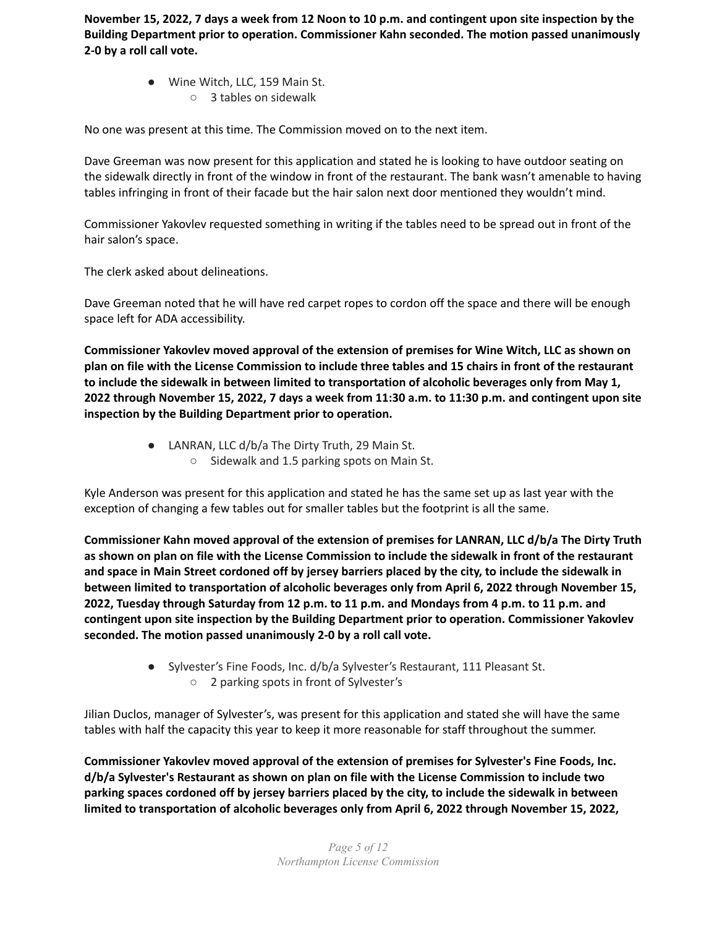November 15, 2022, 7 days a week from 12 Noon to 10 p.m. and contingent upon site inspection by the **Building Department prior to operation. Commissioner Kahn seconded. The motion passed unanimously 2-0 by a roll call vote.**

- Wine Witch, LLC, 159 Main St.
	- 3 tables on sidewalk

No one was present at this time. The Commission moved on to the next item.

Dave Greeman was now present for this application and stated he is looking to have outdoor seating on the sidewalk directly in front of the window in front of the restaurant. The bank wasn't amenable to having tables infringing in front of their facade but the hair salon next door mentioned they wouldn't mind.

Commissioner Yakovlev requested something in writing if the tables need to be spread out in front of the hair salon's space.

The clerk asked about delineations.

Dave Greeman noted that he will have red carpet ropes to cordon off the space and there will be enough space left for ADA accessibility.

**Commissioner Yakovlev moved approval of the extension of premises for Wine Witch, LLC as shown on** plan on file with the License Commission to include three tables and 15 chairs in front of the restaurant **to include the sidewalk in between limited to transportation of alcoholic beverages only from May 1,** 2022 through November 15, 2022, 7 days a week from 11:30 a.m. to 11:30 p.m. and contingent upon site **inspection by the Building Department prior to operation.**

- LANRAN, LLC d/b/a The Dirty Truth, 29 Main St.
	- Sidewalk and 1.5 parking spots on Main St.

Kyle Anderson was present for this application and stated he has the same set up as last year with the exception of changing a few tables out for smaller tables but the footprint is all the same.

**Commissioner Kahn moved approval of the extension of premises for LANRAN, LLC d/b/a The Dirty Truth** as shown on plan on file with the License Commission to include the sidewalk in front of the restaurant and space in Main Street cordoned off by jersey barriers placed by the city, to include the sidewalk in **between limited to transportation of alcoholic beverages only from April 6, 2022 through November 15,** 2022, Tuesday through Saturday from 12 p.m. to 11 p.m. and Mondays from 4 p.m. to 11 p.m. and **contingent upon site inspection by the Building Department prior to operation. Commissioner Yakovlev seconded. The motion passed unanimously 2-0 by a roll call vote.**

> ● Sylvester's Fine Foods, Inc. d/b/a Sylvester's Restaurant, 111 Pleasant St. ○ 2 parking spots in front of Sylvester's

Jilian Duclos, manager of Sylvester's, was present for this application and stated she will have the same tables with half the capacity this year to keep it more reasonable for staff throughout the summer.

**Commissioner Yakovlev moved approval of the extension of premises for Sylvester's Fine Foods, Inc. d/b/a Sylvester's Restaurant as shown on plan on file with the License Commission to include two parking spaces cordoned off by jersey barriers placed by the city, to include the sidewalk in between limited to transportation of alcoholic beverages only from April 6, 2022 through November 15, 2022,**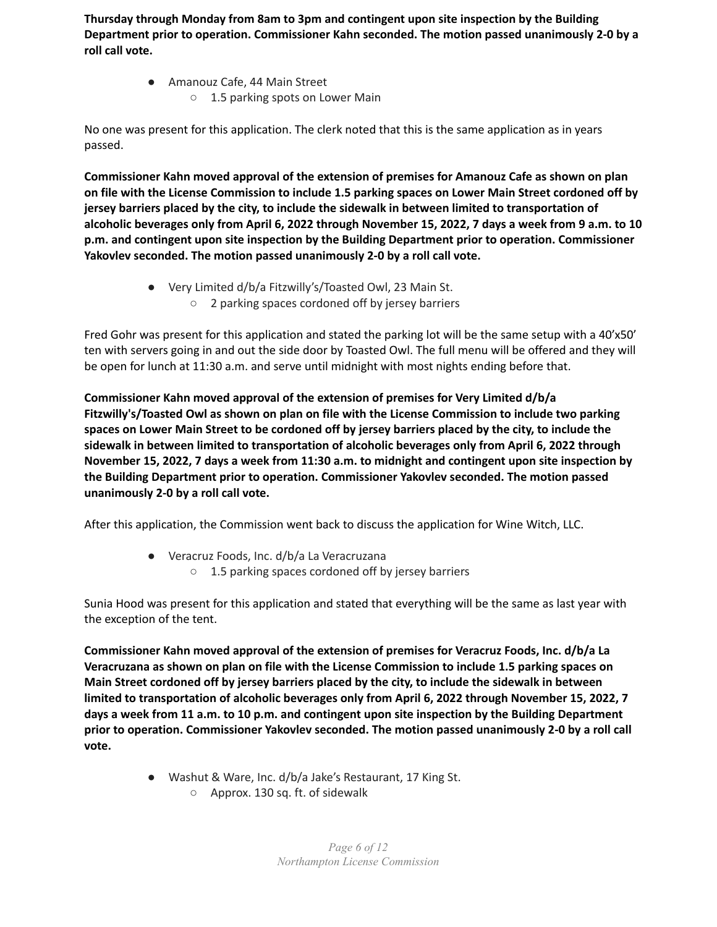**Thursday through Monday from 8am to 3pm and contingent upon site inspection by the Building Department prior to operation. Commissioner Kahn seconded. The motion passed unanimously 2-0 by a roll call vote.**

> ● Amanouz Cafe, 44 Main Street ○ 1.5 parking spots on Lower Main

No one was present for this application. The clerk noted that this is the same application as in years passed.

**Commissioner Kahn moved approval of the extension of premises for Amanouz Cafe as shown on plan** on file with the License Commission to include 1.5 parking spaces on Lower Main Street cordoned off by **jersey barriers placed by the city, to include the sidewalk in between limited to transportation of** alcoholic beverages only from April 6, 2022 through November 15, 2022, 7 days a week from 9 a.m. to 10 **p.m. and contingent upon site inspection by the Building Department prior to operation. Commissioner Yakovlev seconded. The motion passed unanimously 2-0 by a roll call vote.**

> ● Very Limited d/b/a Fitzwilly's/Toasted Owl, 23 Main St. ○ 2 parking spaces cordoned off by jersey barriers

Fred Gohr was present for this application and stated the parking lot will be the same setup with a 40'x50' ten with servers going in and out the side door by Toasted Owl. The full menu will be offered and they will be open for lunch at 11:30 a.m. and serve until midnight with most nights ending before that.

**Commissioner Kahn moved approval of the extension of premises for Very Limited d/b/a Fitzwilly's/Toasted Owl as shown on plan on file with the License Commission to include two parking** spaces on Lower Main Street to be cordoned off by jersey barriers placed by the city, to include the **sidewalk in between limited to transportation of alcoholic beverages only from April 6, 2022 through** November 15, 2022, 7 days a week from 11:30 a.m. to midnight and contingent upon site inspection by **the Building Department prior to operation. Commissioner Yakovlev seconded. The motion passed unanimously 2-0 by a roll call vote.**

After this application, the Commission went back to discuss the application for Wine Witch, LLC.

- Veracruz Foods, Inc. d/b/a La Veracruzana
	- 1.5 parking spaces cordoned off by jersey barriers

Sunia Hood was present for this application and stated that everything will be the same as last year with the exception of the tent.

**Commissioner Kahn moved approval of the extension of premises for Veracruz Foods, Inc. d/b/a La Veracruzana as shown on plan on file with the License Commission to include 1.5 parking spaces on Main Street cordoned off by jersey barriers placed by the city, to include the sidewalk in between limited to transportation of alcoholic beverages only from April 6, 2022 through November 15, 2022, 7 days a week from 11 a.m. to 10 p.m. and contingent upon site inspection by the Building Department prior to operation. Commissioner Yakovlev seconded. The motion passed unanimously 2-0 by a roll call vote.**

- Washut & Ware, Inc. d/b/a Jake's Restaurant, 17 King St.
	- Approx. 130 sq. ft. of sidewalk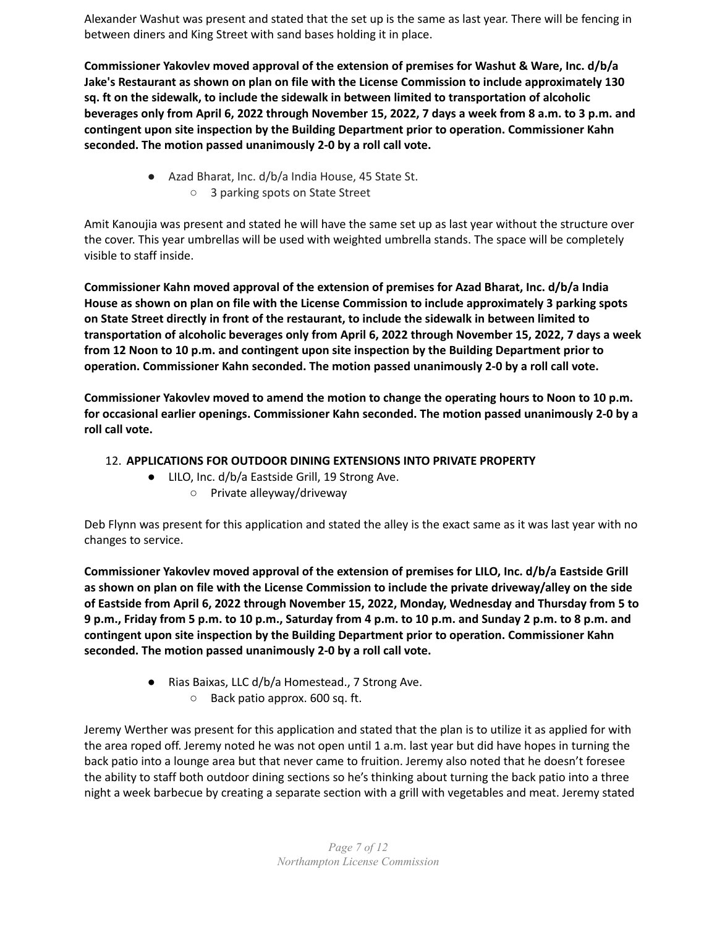Alexander Washut was present and stated that the set up is the same as last year. There will be fencing in between diners and King Street with sand bases holding it in place.

**Commissioner Yakovlev moved approval of the extension of premises for Washut & Ware, Inc. d/b/a Jake's Restaurant as shown on plan on file with the License Commission to include approximately 130 sq. ft on the sidewalk, to include the sidewalk in between limited to transportation of alcoholic** beverages only from April 6, 2022 through November 15, 2022, 7 days a week from 8 a.m. to 3 p.m. and **contingent upon site inspection by the Building Department prior to operation. Commissioner Kahn seconded. The motion passed unanimously 2-0 by a roll call vote.**

- Azad Bharat, Inc. d/b/a India House, 45 State St.
	- 3 parking spots on State Street

Amit Kanoujia was present and stated he will have the same set up as last year without the structure over the cover. This year umbrellas will be used with weighted umbrella stands. The space will be completely visible to staff inside.

**Commissioner Kahn moved approval of the extension of premises for Azad Bharat, Inc. d/b/a India House as shown on plan on file with the License Commission to include approximately 3 parking spots on State Street directly in front of the restaurant, to include the sidewalk in between limited to transportation of alcoholic beverages only from April 6, 2022 through November 15, 2022, 7 days a week from 12 Noon to 10 p.m. and contingent upon site inspection by the Building Department prior to operation. Commissioner Kahn seconded. The motion passed unanimously 2-0 by a roll call vote.**

**Commissioner Yakovlev moved to amend the motion to change the operating hours to Noon to 10 p.m. for occasional earlier openings. Commissioner Kahn seconded. The motion passed unanimously 2-0 by a roll call vote.**

# 12. **APPLICATIONS FOR OUTDOOR DINING EXTENSIONS INTO PRIVATE PROPERTY**

- LILO, Inc. d/b/a Eastside Grill, 19 Strong Ave.
	- Private alleyway/driveway

Deb Flynn was present for this application and stated the alley is the exact same as it was last year with no changes to service.

**Commissioner Yakovlev moved approval of the extension of premises for LILO, Inc. d/b/a Eastside Grill** as shown on plan on file with the License Commission to include the private driveway/alley on the side **of Eastside from April 6, 2022 through November 15, 2022, Monday, Wednesday and Thursday from 5 to** 9 p.m., Friday from 5 p.m. to 10 p.m., Saturday from 4 p.m. to 10 p.m. and Sunday 2 p.m. to 8 p.m. and **contingent upon site inspection by the Building Department prior to operation. Commissioner Kahn seconded. The motion passed unanimously 2-0 by a roll call vote.**

- Rias Baixas, LLC d/b/a Homestead., 7 Strong Ave.
	- Back patio approx. 600 sq. ft.

Jeremy Werther was present for this application and stated that the plan is to utilize it as applied for with the area roped off. Jeremy noted he was not open until 1 a.m. last year but did have hopes in turning the back patio into a lounge area but that never came to fruition. Jeremy also noted that he doesn't foresee the ability to staff both outdoor dining sections so he's thinking about turning the back patio into a three night a week barbecue by creating a separate section with a grill with vegetables and meat. Jeremy stated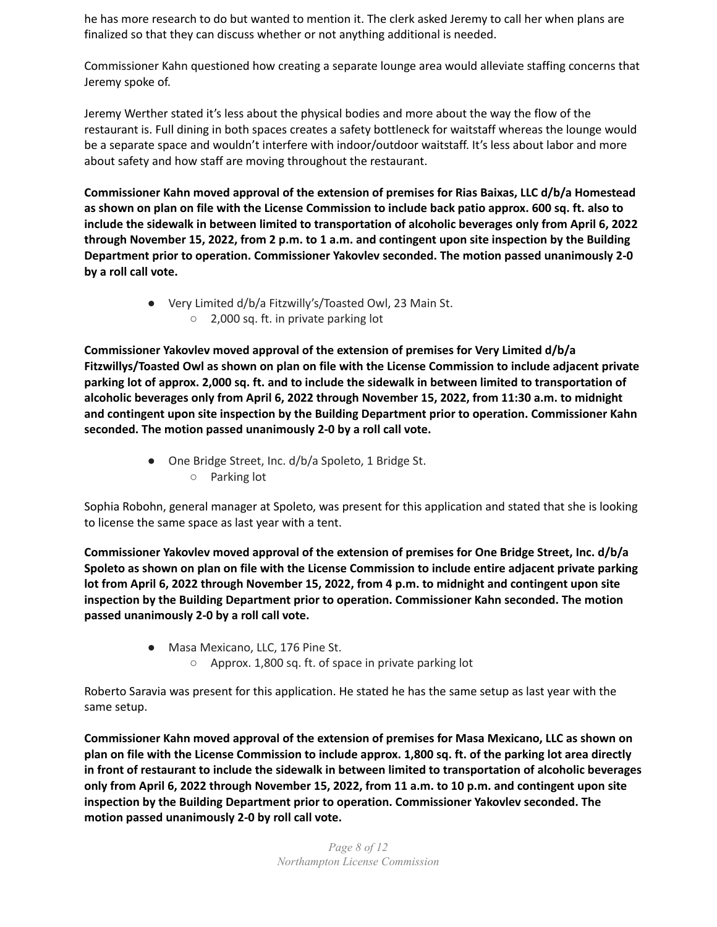he has more research to do but wanted to mention it. The clerk asked Jeremy to call her when plans are finalized so that they can discuss whether or not anything additional is needed.

Commissioner Kahn questioned how creating a separate lounge area would alleviate staffing concerns that Jeremy spoke of.

Jeremy Werther stated it's less about the physical bodies and more about the way the flow of the restaurant is. Full dining in both spaces creates a safety bottleneck for waitstaff whereas the lounge would be a separate space and wouldn't interfere with indoor/outdoor waitstaff. It's less about labor and more about safety and how staff are moving throughout the restaurant.

**Commissioner Kahn moved approval of the extension of premises for Rias Baixas, LLC d/b/a Homestead** as shown on plan on file with the License Commission to include back patio approx. 600 sq. ft. also to **include the sidewalk in between limited to transportation of alcoholic beverages only from April 6, 2022** through November 15, 2022, from 2 p.m. to 1 a.m. and contingent upon site inspection by the Building **Department prior to operation. Commissioner Yakovlev seconded. The motion passed unanimously 2-0 by a roll call vote.**

> ● Very Limited d/b/a Fitzwilly's/Toasted Owl, 23 Main St. ○ 2,000 sq. ft. in private parking lot

**Commissioner Yakovlev moved approval of the extension of premises for Very Limited d/b/a Fitzwillys/Toasted Owl as shown on plan on file with the License Commission to include adjacent private** parking lot of approx. 2,000 sq. ft. and to include the sidewalk in between limited to transportation of **alcoholic beverages only from April 6, 2022 through November 15, 2022, from 11:30 a.m. to midnight and contingent upon site inspection by the Building Department prior to operation. Commissioner Kahn seconded. The motion passed unanimously 2-0 by a roll call vote.**

> ● One Bridge Street, Inc. d/b/a Spoleto, 1 Bridge St. ○ Parking lot

Sophia Robohn, general manager at Spoleto, was present for this application and stated that she is looking to license the same space as last year with a tent.

**Commissioner Yakovlev moved approval of the extension of premises for One Bridge Street, Inc. d/b/a Spoleto as shown on plan on file with the License Commission to include entire adjacent private parking lot from April 6, 2022 through November 15, 2022, from 4 p.m. to midnight and contingent upon site inspection by the Building Department prior to operation. Commissioner Kahn seconded. The motion passed unanimously 2-0 by a roll call vote.**

- Masa Mexicano, LLC, 176 Pine St.
	- Approx. 1,800 sq. ft. of space in private parking lot

Roberto Saravia was present for this application. He stated he has the same setup as last year with the same setup.

**Commissioner Kahn moved approval of the extension of premises for Masa Mexicano, LLC as shown on** plan on file with the License Commission to include approx. 1,800 sq. ft. of the parking lot area directly **in front of restaurant to include the sidewalk in between limited to transportation of alcoholic beverages** only from April 6, 2022 through November 15, 2022, from 11 a.m. to 10 p.m. and contingent upon site **inspection by the Building Department prior to operation. Commissioner Yakovlev seconded. The motion passed unanimously 2-0 by roll call vote.**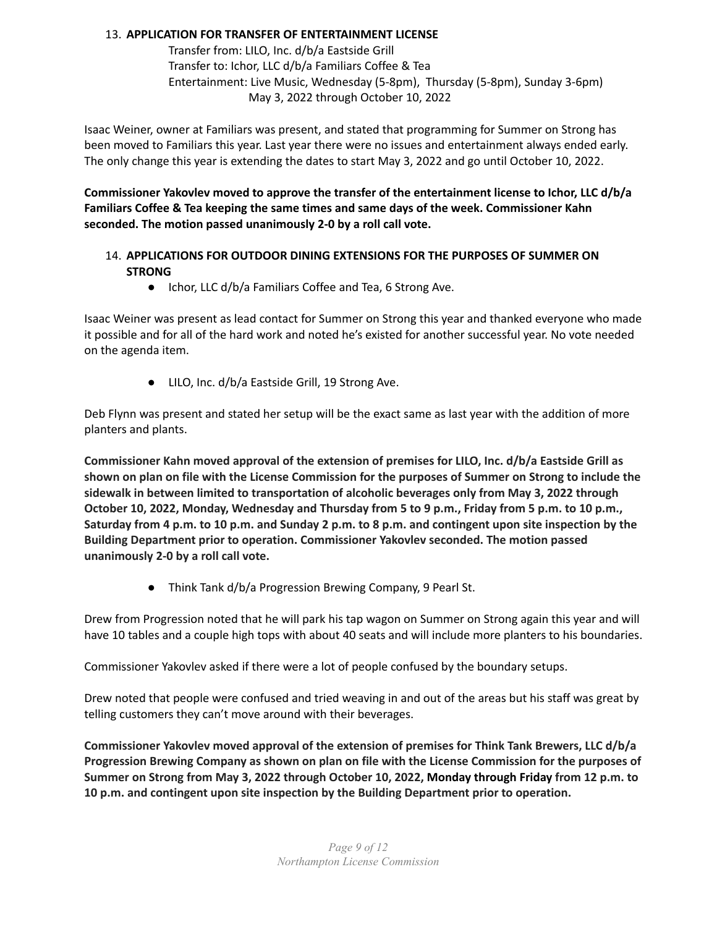# 13. **APPLICATION FOR TRANSFER OF ENTERTAINMENT LICENSE**

Transfer from: LILO, Inc. d/b/a Eastside Grill Transfer to: Ichor, LLC d/b/a Familiars Coffee & Tea Entertainment: Live Music, Wednesday (5-8pm), Thursday (5-8pm), Sunday 3-6pm) May 3, 2022 through October 10, 2022

Isaac Weiner, owner at Familiars was present, and stated that programming for Summer on Strong has been moved to Familiars this year. Last year there were no issues and entertainment always ended early. The only change this year is extending the dates to start May 3, 2022 and go until October 10, 2022.

**Commissioner Yakovlev moved to approve the transfer of the entertainment license to Ichor, LLC d/b/a Familiars Coffee & Tea keeping the same times and same days of the week. Commissioner Kahn seconded. The motion passed unanimously 2-0 by a roll call vote.**

# 14. **APPLICATIONS FOR OUTDOOR DINING EXTENSIONS FOR THE PURPOSES OF SUMMER ON STRONG**

● Ichor, LLC d/b/a Familiars Coffee and Tea, 6 Strong Ave.

Isaac Weiner was present as lead contact for Summer on Strong this year and thanked everyone who made it possible and for all of the hard work and noted he's existed for another successful year. No vote needed on the agenda item.

● LILO, Inc. d/b/a Eastside Grill, 19 Strong Ave.

Deb Flynn was present and stated her setup will be the exact same as last year with the addition of more planters and plants.

**Commissioner Kahn moved approval of the extension of premises for LILO, Inc. d/b/a Eastside Grill as** shown on plan on file with the License Commission for the purposes of Summer on Strong to include the **sidewalk in between limited to transportation of alcoholic beverages only from May 3, 2022 through** October 10, 2022, Monday, Wednesday and Thursday from 5 to 9 p.m., Friday from 5 p.m. to 10 p.m., Saturday from 4 p.m. to 10 p.m. and Sunday 2 p.m. to 8 p.m. and contingent upon site inspection by the **Building Department prior to operation. Commissioner Yakovlev seconded. The motion passed unanimously 2-0 by a roll call vote.**

● Think Tank d/b/a Progression Brewing Company, 9 Pearl St.

Drew from Progression noted that he will park his tap wagon on Summer on Strong again this year and will have 10 tables and a couple high tops with about 40 seats and will include more planters to his boundaries.

Commissioner Yakovlev asked if there were a lot of people confused by the boundary setups.

Drew noted that people were confused and tried weaving in and out of the areas but his staff was great by telling customers they can't move around with their beverages.

**Commissioner Yakovlev moved approval of the extension of premises for Think Tank Brewers, LLC d/b/a Progression Brewing Company as shown on plan on file with the License Commission for the purposes of Summer on Strong from May 3, 2022 through October 10, 2022, Monday through Friday from 12 p.m. to 10 p.m. and contingent upon site inspection by the Building Department prior to operation.**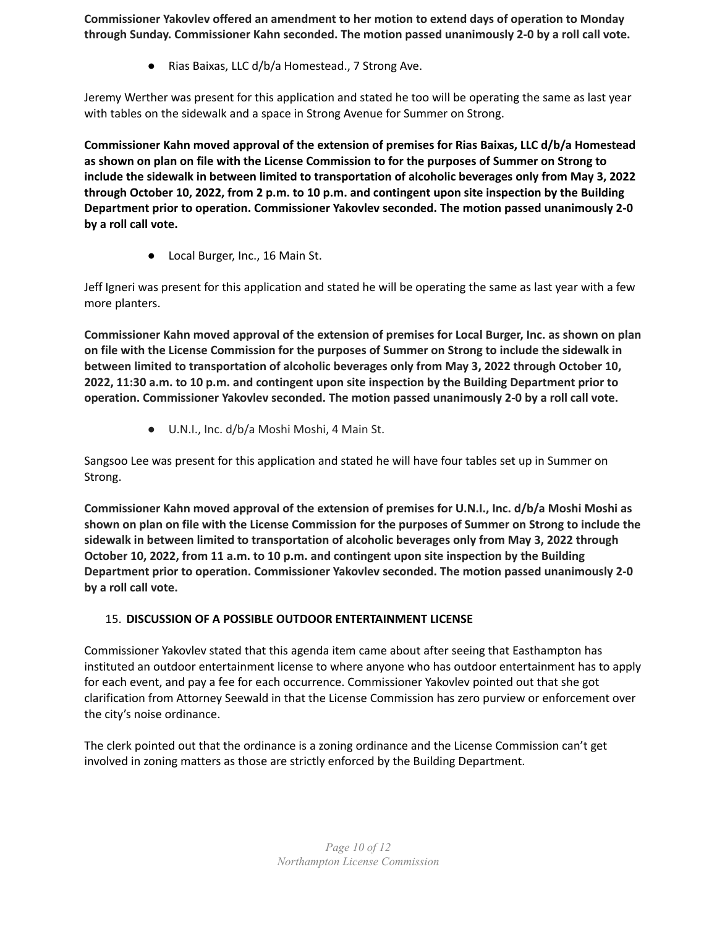**Commissioner Yakovlev offered an amendment to her motion to extend days of operation to Monday through Sunday. Commissioner Kahn seconded. The motion passed unanimously 2-0 by a roll call vote.**

● Rias Baixas, LLC d/b/a Homestead., 7 Strong Ave.

Jeremy Werther was present for this application and stated he too will be operating the same as last year with tables on the sidewalk and a space in Strong Avenue for Summer on Strong.

**Commissioner Kahn moved approval of the extension of premises for Rias Baixas, LLC d/b/a Homestead** as shown on plan on file with the License Commission to for the purposes of Summer on Strong to **include the sidewalk in between limited to transportation of alcoholic beverages only from May 3, 2022** through October 10, 2022, from 2 p.m. to 10 p.m. and contingent upon site inspection by the Building **Department prior to operation. Commissioner Yakovlev seconded. The motion passed unanimously 2-0 by a roll call vote.**

● Local Burger, Inc., 16 Main St.

Jeff Igneri was present for this application and stated he will be operating the same as last year with a few more planters.

**Commissioner Kahn moved approval of the extension of premises for Local Burger, Inc. as shown on plan** on file with the License Commission for the purposes of Summer on Strong to include the sidewalk in **between limited to transportation of alcoholic beverages only from May 3, 2022 through October 10, 2022, 11:30 a.m. to 10 p.m. and contingent upon site inspection by the Building Department prior to operation. Commissioner Yakovlev seconded. The motion passed unanimously 2-0 by a roll call vote.**

● U.N.I., Inc. d/b/a Moshi Moshi, 4 Main St.

Sangsoo Lee was present for this application and stated he will have four tables set up in Summer on Strong.

**Commissioner Kahn moved approval of the extension of premises for U.N.I., Inc. d/b/a Moshi Moshi as** shown on plan on file with the License Commission for the purposes of Summer on Strong to include the **sidewalk in between limited to transportation of alcoholic beverages only from May 3, 2022 through October 10, 2022, from 11 a.m. to 10 p.m. and contingent upon site inspection by the Building Department prior to operation. Commissioner Yakovlev seconded. The motion passed unanimously 2-0 by a roll call vote.**

# 15. **DISCUSSION OF A POSSIBLE OUTDOOR ENTERTAINMENT LICENSE**

Commissioner Yakovlev stated that this agenda item came about after seeing that Easthampton has instituted an outdoor entertainment license to where anyone who has outdoor entertainment has to apply for each event, and pay a fee for each occurrence. Commissioner Yakovlev pointed out that she got clarification from Attorney Seewald in that the License Commission has zero purview or enforcement over the city's noise ordinance.

The clerk pointed out that the ordinance is a zoning ordinance and the License Commission can't get involved in zoning matters as those are strictly enforced by the Building Department.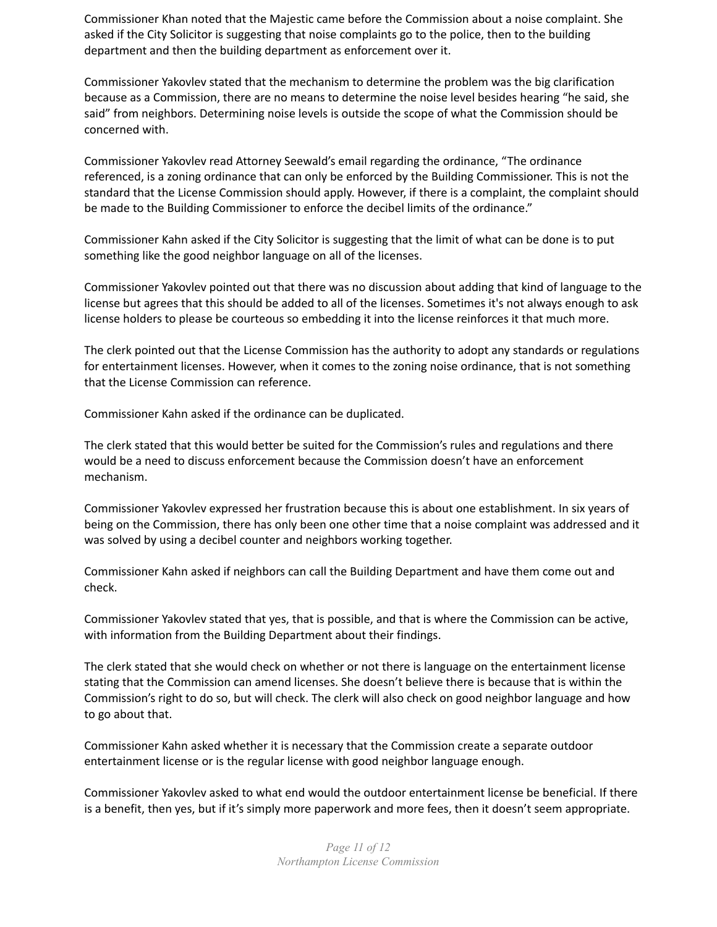Commissioner Khan noted that the Majestic came before the Commission about a noise complaint. She asked if the City Solicitor is suggesting that noise complaints go to the police, then to the building department and then the building department as enforcement over it.

Commissioner Yakovlev stated that the mechanism to determine the problem was the big clarification because as a Commission, there are no means to determine the noise level besides hearing "he said, she said" from neighbors. Determining noise levels is outside the scope of what the Commission should be concerned with.

Commissioner Yakovlev read Attorney Seewald's email regarding the ordinance, "The ordinance referenced, is a zoning ordinance that can only be enforced by the Building Commissioner. This is not the standard that the License Commission should apply. However, if there is a complaint, the complaint should be made to the Building Commissioner to enforce the decibel limits of the ordinance."

Commissioner Kahn asked if the City Solicitor is suggesting that the limit of what can be done is to put something like the good neighbor language on all of the licenses.

Commissioner Yakovlev pointed out that there was no discussion about adding that kind of language to the license but agrees that this should be added to all of the licenses. Sometimes it's not always enough to ask license holders to please be courteous so embedding it into the license reinforces it that much more.

The clerk pointed out that the License Commission has the authority to adopt any standards or regulations for entertainment licenses. However, when it comes to the zoning noise ordinance, that is not something that the License Commission can reference.

Commissioner Kahn asked if the ordinance can be duplicated.

The clerk stated that this would better be suited for the Commission's rules and regulations and there would be a need to discuss enforcement because the Commission doesn't have an enforcement mechanism.

Commissioner Yakovlev expressed her frustration because this is about one establishment. In six years of being on the Commission, there has only been one other time that a noise complaint was addressed and it was solved by using a decibel counter and neighbors working together.

Commissioner Kahn asked if neighbors can call the Building Department and have them come out and check.

Commissioner Yakovlev stated that yes, that is possible, and that is where the Commission can be active, with information from the Building Department about their findings.

The clerk stated that she would check on whether or not there is language on the entertainment license stating that the Commission can amend licenses. She doesn't believe there is because that is within the Commission's right to do so, but will check. The clerk will also check on good neighbor language and how to go about that.

Commissioner Kahn asked whether it is necessary that the Commission create a separate outdoor entertainment license or is the regular license with good neighbor language enough.

Commissioner Yakovlev asked to what end would the outdoor entertainment license be beneficial. If there is a benefit, then yes, but if it's simply more paperwork and more fees, then it doesn't seem appropriate.